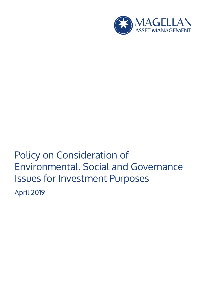

# Policy on Consideration of Environmental, Social and Governance Issues for Investment Purposes

April 2019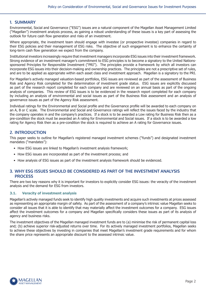## **1. SUMMARY**

Environmental, Social and Governance ("ESG") issues are a natural component of the Magellan Asset Management Limited ("Magellan") investment analysis process, as gaining a robust understanding of these issues is a key part of assessing the outlook for future cash flow generation and risks of an investment.

Where appropriate, the investment team should engage with investee (or prospective investee) companies in regard to their ESG policies and their management of ESG risks. The objective of such engagement is to enhance the certainty of long-term cash flow generation we expect from the company.

Institutional investors increasingly require that investment managers incorporate ESG issues into their investment framework. Strong evidence of an investment manager's commitment to ESG principles is to become a signatory to the United Nationssponsored Principles for Responsible Investment ("PRI"). The principles provide a framework by which all investors can incorporate ESG issues into their decision-making and ownership practices. The principles are not a prescriptive set of rules, and are to be applied as appropriate within each asset class and investment approach. Magellan is a signatory to the PRI.

For Magellan's actively managed valuation-based portfolios, ESG issues are reviewed as part of the assessment of Business Risk and Agency Risk completed for the determination of investment grade status. ESG issues are explicitly discussed as part of the research report completed for each company and are reviewed on an annual basis as part of the ongoing analysis of companies. This review of ESG issues is to be evidenced in the research report completed for each company by including an analysis of environmental and social issues as part of the Business Risk assessment and an analysis of governance issues as part of the Agency Risk assessment.

Individual ratings for the Environmental and Social profile and the Governance profile will be awarded to each company on an A, B or C scale. The Environmental and Social and Governance ratings will reflect the issues faced by the industry that the company operates in and the company's practices. If a stock is to be awarded a Low rating for Business Risk then as a pre-condition the stock must be awarded an A rating for Environmental and Social issues. If a stock is to be awarded a low rating for Agency Risk then as a pre-condition the stock is required to achieve an A rating for Governance issues.

# **2. INTRODUCTION**

This paper seeks to outline for Magellan's registered managed investment schemes ("funds") and designated investment mandates ("mandates"):

- How ESG issues are linked to Magellan's investment analysis framework;
- How ESG issues are incorporated as part of the investment process; and
- How analysis of ESG issues as part of the investment analysis framework should be evidenced.

# **3. WHY ESG ISSUES SHOULD BE CONSIDERED AS PART OF THE INVESTMENT ANALYSIS PROCESS**

There are two key reasons why it is important for investors to explicitly consider ESG issues: the veracity of the investment analysis and the demand for ESG from investors.

## **3.1. Veracity of investment analysis**

Magellan's actively managed funds seek to identify high quality investments and acquire such investments at prices assessed as representing an appropriate margin of safety. As part of the assessment of a company's intrinsic value Magellan seeks to consider all issues that it is able to identify that may materially affect the investment outcomes for a company. ESG issues affect the investment outcomes for a company and Magellan specifically considers these issues as part of its analysis of agency and business risks.

The investment objectives of the Magellan managed investment funds are to (a) minimise the risk of permanent capital loss and; (b) achieve superior risk-adjusted returns over time. For its actively managed investment portfolios, Magellan seeks to achieve these objectives by investing in companies that meet Magellan's investment grade requirements and for whom the share price represents an appropriate discount to the assessed intrinsic value.

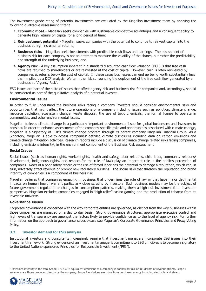The investment grade rating of potential investments are evaluated by the Magellan investment team by applying the following qualitative assessment criteria:

- 1. **Economic moat** Magellan seeks companies with sustainable competitive advantages and a consequent ability to generate high returns on capital for a long period of time;
- 2. **Reinvestment potential** Magellan seeks companies with the potential to continue to reinvest capital into the business at high incremental returns;
- 3. **Business risks** Magellan seeks investments with predictable cash flows and earnings. The assessment of business risk for each company is not an attempt to measure the volatility of the shares, but rather the predictability and strength of the underlying business; and
- 4. **Agency risk** A key assumption inherent in a standard discounted cash flow valuation (DCF) is that free cash flows are returned to shareholders or are reinvested at the cost of capital. However, cash is often reinvested by companies at returns below the cost of capital. In these cases businesses can end up being worth substantially less than implied by a DCF analysis. We term the risk surrounding the deployment of the free cash flow generated by a business as "Agency Risk".

ESG issues are part of the suite of issues that affect agency risk and business risk for companies and, accordingly, should be considered as part of the qualitative analysis of a potential investee.

#### **Environmental Issues**

In order to fully understand the business risks facing a company investors should consider environmental risks and opportunities that might affect the future operations of a company including issues such as pollution, climate change, resource depletion, ecosystem change, waste disposal, the use of toxic chemicals, the formal license to operate in communities, and other environmental issues.

Magellan believes climate change is a particularly important environmental issue for global businesses and investors to consider. In order to enhance assessments of the company-specific risks and opportunities associated with climate change, Magellan is a Signatory of CDP's climate change program through its parent company Magellan Financial Group. As a Signatory, Magellan is able to access companies' detailed climate disclosures including data on carbon emissions and climate change mitigation activities. Research reports include a discussion of climate change related risks facing companies, including emissions intensity<sup>1</sup>, in the environment component of the Business Risk assessment.

#### **Social Issues**

Social issues (such as human rights, worker rights, health and safety, labor relations, child labor, community relations/ development, indigenous rights, and respect for the rule of law) play an important role in the public's perception of companies. News of a poor safety record or the use of forced labor has the potential to damage a reputation, which can, in turn, adversely affect revenue or prompt new regulatory burdens. The social risks that threaten the reputation and brand integrity of companies is a component of business risk.

Magellan believes that companies engaging in business that undermines the rule of law or that have major detrimental impacts on human health warrant particularly close scrutiny by investors. Such business models may be the subject of future government regulation or changes in consumption patterns, making them a high risk investment from investors' perspective. Magellan excludes companies engaged in "high roller" casino gaming and the production of tobacco from its investible universe.

#### **Governance Issues**

Corporate governance is concerned with the way corporate entities are governed, as distinct from the way businesses within those companies are managed on a day to day basis. Strong governance structures, appropriate executive control and high levels of transparency are amongst the factors likely to provide confidence as to the level of agency risk. For further information on the approach to governance issues please see Magellan's Corporate Governance Principles and Proxy Voting Policy.

#### **3.2. Investor demand for ESG analysis**

Institutional investors and consultants increasingly require that investment managers incorporate ESG issues into their investment framework. Strong evidence of an investment manager's commitment to ESG principles is to become a signatory to the United Nations-sponsored Principles for Responsible Investment ("PRI").

1 Emissions intensity is the total Scope 1 & 2 CO2 equivalent emissions of a company in tonnes per million US dollars of revenue (t/\$m). Scope 1 emissions are those produced directly by the company. Scope 2 emissions are those from purchased energy including electricity and steam.

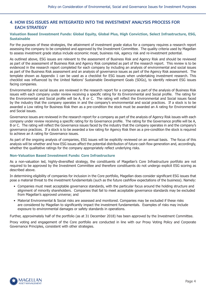# **4. HOW ESG ISSUES ARE INTEGRATED INTO THE INVESTMENT ANALYSIS PROCESS FOR EACH STRATEGY**

#### **Valuation Based Investment Funds: Global Equity, Global Plus, High Conviction, Select Infrastructure, ESG, Sustainable**

For the purposes of these strategies, the attainment of investment grade status for a company requires a research report assessing the company to be completed and approved by the Investment Committee. The quality criteria used by Magellan to assess investment grade status include economic moat, business risk, agency risk and re-investment potential.

As outlined above, ESG issues are relevant to the assessment of Business Risk and Agency Risk and should be reviewed as part of the assessment of Business Risk and Agency Risk completed as part of the research report. This review is to be evidenced in the research report completed for each company by including an analysis of environmental and social issues as part of the Business Risk assessment and an analysis of governance issues as part of the Agency Risk assessment. The template shown as Appendix 1 can be used as a checklist for ESG issues when undertaking investment research. This checklist was influenced by the United Nations' Sustainable Development Goals (SDGs), to identify relevant ESG issues facing companies.

Environmental and social issues are reviewed in the research report for a company as part of the analysis of Business Risk issues with each company under review receiving a specific rating for its Environmental and Social profile. The rating for the Environmental and Social profile will be A, B or C. The rating will reflect the Environmental and Social issues faced by the industry that the company operates in and the company's environmental and social practices. If a stock is to be awarded a Low rating for Business Risk then as a pre-condition the stock must be awarded an A rating for Environmental and Social issues.

Governance issues are reviewed in the research report for a company as part of the analysis of Agency Risk issues with each company under review receiving a specific rating for its Governance profile. The rating for the Governance profile will be A, B or C. The rating will reflect the Governance issues faced by the industry that the company operates in and the company's governance practices. If a stock is to be awarded a low rating for Agency Risk then as a pre-condition the stock is required to achieve an A rating for Governance issues.

As part of the ongoing analysis of companies, ESG issues will be explicitly reviewed on an annual basis. The focus of this analysis will be whether and how ESG issues affect the potential distribution of future cash flow generation and, accordingly, whether the qualitative ratings for the company appropriately reflect underlying risks.

#### **Non-Valuation Based Investment Funds: Core Infrastructure**

As a non-valuation led, highly-diversified strategy, the constituents of Magellan's Core Infrastructure portfolio are not required to be approved by the Investment Committee and therefore constituents do not undergo explicit ESG scoring as described above.

In determining eligibility of companies for inclusion in the Core portfolio, Magellan does consider significant ESG issues that pose a material threat to the investment fundamentals (such as the future cashflow expectations of the business). Namely:

- Companies must meet acceptable governance standards, with the particular focus around the holding structure and alignment of minority shareholders. Companies that fail to meet acceptable governance standards may be excluded from Magellan's approved universe; and
- Material Environmental & Social risks are assessed and monitored. Companies may be excluded if these risks are considered by Magellan to significantly impact the investment fundamentals. Examples of risks may include exposure to environmental damages or safety standards in operations.

Further, approximately half of the portfolio (as at 31 December 2018) has been approved by the Investment Committee.

Proxy voting and engagement of the Core portfolio are conducted in line with our Proxy Voting Policy and Corporate Governance Principles, consistent with other strategies.

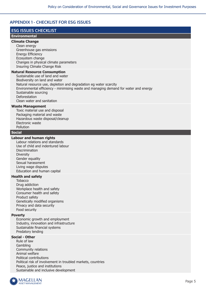# **APPENDIX 1 - CHECKLIST FOR ESG ISSUES**

# **ESG ISSUES CHECKLIST**

## **Environmental**

#### **Climate Change**

Clean energy Greenhouse gas emissions Energy Efficiency Ecosystem change Changes in physical climate parameters Insuring Climate Change Risk

#### **Natural Resource Consumption**

Sustainable use of land and water Biodiversity on land and water Natural resource use, depletion and degradation eg water scarcity Environmental efficiency - minimising waste and managing demand for water and energy Sustainable sourcing Deforestation Clean water and sanitation

#### **Waste Management**

Toxic material use and disposal Packaging material and waste Hazardous waste disposal/cleanup Electronic waste Pollution

#### **Social**

#### **Labour and human rights**

Labour relations and standards Use of child and indentured labour Discrimination **Diversity** Gender equality Sexual harassment Living wage disputes Education and human capital

## **Health and safety**

**Tobacco** Drug addiction Workplace health and safety Consumer health and safety Product safety Genetically modified organisms Privacy and data security Food security

#### **Poverty**

Economic growth and employment Industry, innovation and infrastructure Sustainable financial systems Predatory lending

## **Social - Other**

Rule of law Gambling Community relations Animal welfare Political contributions Political risk of involvement in troubled markets, countries Peace, justice and institutions Sustainable and inclusive development